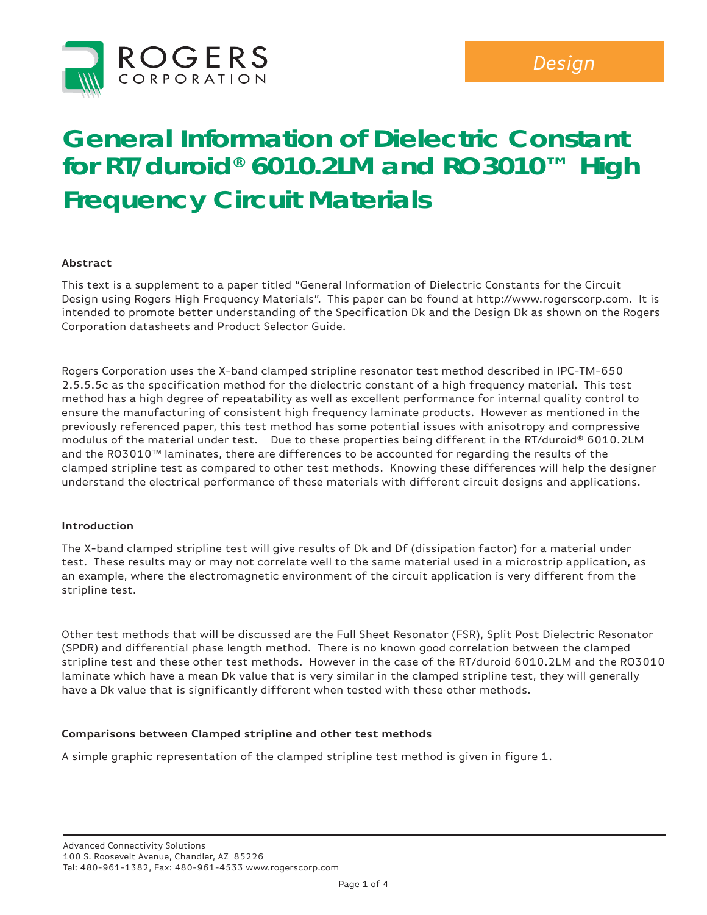

# **General Information of Dielectric Constant for RT/duroid® 6010.2LM and RO3010™ High Frequency Circuit Materials**

## **Abstract**

This text is a supplement to a paper titled "General Information of Dielectric Constants for the Circuit Design using Rogers High Frequency Materials". This paper can be found at http://www.rogerscorp.com. It is intended to promote better understanding of the Specification Dk and the Design Dk as shown on the Rogers Corporation datasheets and Product Selector Guide.

Rogers Corporation uses the X-band clamped stripline resonator test method described in IPC-TM-650 2.5.5.5c as the specification method for the dielectric constant of a high frequency material. This test method has a high degree of repeatability as well as excellent performance for internal quality control to ensure the manufacturing of consistent high frequency laminate products. However as mentioned in the previously referenced paper, this test method has some potential issues with anisotropy and compressive modulus of the material under test. Due to these properties being different in the RT/duroid® 6010.2LM and the RO3010™ laminates, there are differences to be accounted for regarding the results of the clamped stripline test as compared to other test methods. Knowing these differences will help the designer understand the electrical performance of these materials with different circuit designs and applications.

#### **Introduction**

The X-band clamped stripline test will give results of Dk and Df (dissipation factor) for a material under test. These results may or may not correlate well to the same material used in a microstrip application, as an example, where the electromagnetic environment of the circuit application is very different from the stripline test.

Other test methods that will be discussed are the Full Sheet Resonator (FSR), Split Post Dielectric Resonator (SPDR) and differential phase length method. There is no known good correlation between the clamped stripline test and these other test methods. However in the case of the RT/duroid 6010.2LM and the RO3010 laminate which have a mean Dk value that is very similar in the clamped stripline test, they will generally have a Dk value that is significantly different when tested with these other methods.

## **Comparisons between Clamped stripline and other test methods**

A simple graphic representation of the clamped stripline test method is given in figure 1.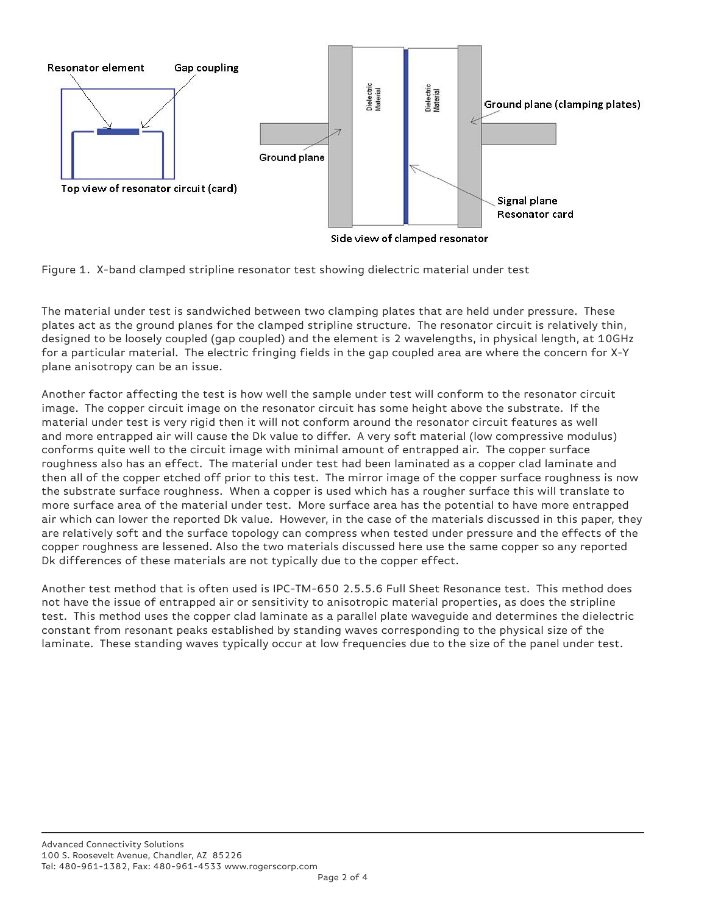

Figure 1. X-band clamped stripline resonator test showing dielectric material under test

The material under test is sandwiched between two clamping plates that are held under pressure. These plates act as the ground planes for the clamped stripline structure. The resonator circuit is relatively thin, designed to be loosely coupled (gap coupled) and the element is 2 wavelengths, in physical length, at 10GHz for a particular material. The electric fringing fields in the gap coupled area are where the concern for X-Y plane anisotropy can be an issue.

Another factor affecting the test is how well the sample under test will conform to the resonator circuit image. The copper circuit image on the resonator circuit has some height above the substrate. If the material under test is very rigid then it will not conform around the resonator circuit features as well and more entrapped air will cause the Dk value to differ. A very soft material (low compressive modulus) conforms quite well to the circuit image with minimal amount of entrapped air. The copper surface roughness also has an effect. The material under test had been laminated as a copper clad laminate and then all of the copper etched off prior to this test. The mirror image of the copper surface roughness is now the substrate surface roughness. When a copper is used which has a rougher surface this will translate to more surface area of the material under test. More surface area has the potential to have more entrapped air which can lower the reported Dk value. However, in the case of the materials discussed in this paper, they are relatively soft and the surface topology can compress when tested under pressure and the effects of the copper roughness are lessened. Also the two materials discussed here use the same copper so any reported Dk differences of these materials are not typically due to the copper effect.

Another test method that is often used is IPC-TM-650 2.5.5.6 Full Sheet Resonance test. This method does not have the issue of entrapped air or sensitivity to anisotropic material properties, as does the stripline test. This method uses the copper clad laminate as a parallel plate waveguide and determines the dielectric constant from resonant peaks established by standing waves corresponding to the physical size of the laminate. These standing waves typically occur at low frequencies due to the size of the panel under test.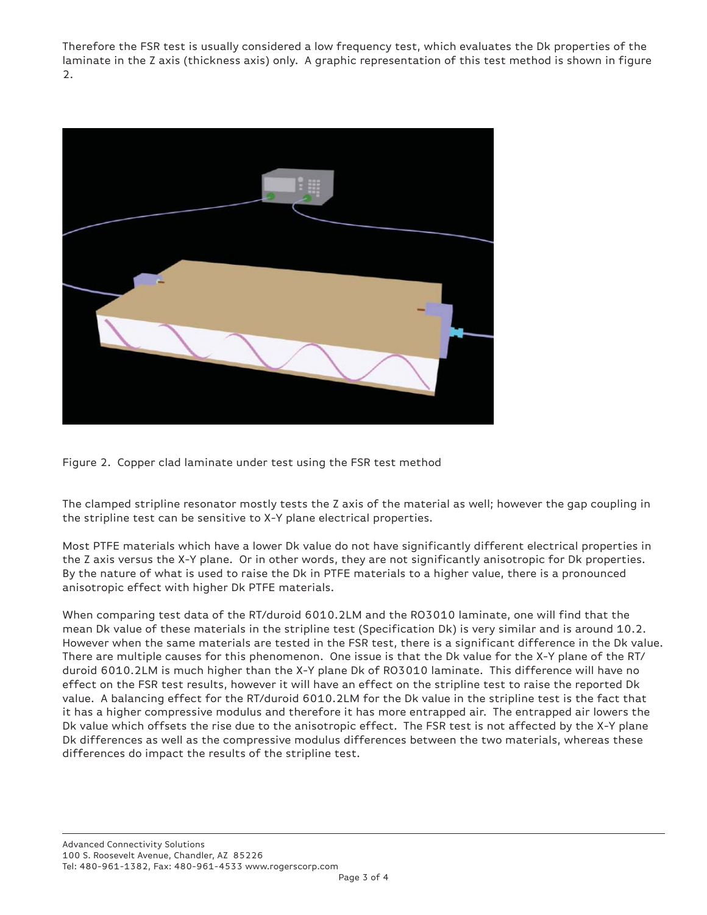Therefore the FSR test is usually considered a low frequency test, which evaluates the Dk properties of the laminate in the Z axis (thickness axis) only. A graphic representation of this test method is shown in figure 2.





The clamped stripline resonator mostly tests the Z axis of the material as well; however the gap coupling in the stripline test can be sensitive to X-Y plane electrical properties.

Most PTFE materials which have a lower Dk value do not have significantly different electrical properties in the Z axis versus the X-Y plane. Or in other words, they are not significantly anisotropic for Dk properties. By the nature of what is used to raise the Dk in PTFE materials to a higher value, there is a pronounced anisotropic effect with higher Dk PTFE materials.

When comparing test data of the RT/duroid 6010.2LM and the RO3010 laminate, one will find that the mean Dk value of these materials in the stripline test (Specification Dk) is very similar and is around 10.2. However when the same materials are tested in the FSR test, there is a significant difference in the Dk value. There are multiple causes for this phenomenon. One issue is that the Dk value for the X-Y plane of the RT/ duroid 6010.2LM is much higher than the X-Y plane Dk of RO3010 laminate. This difference will have no effect on the FSR test results, however it will have an effect on the stripline test to raise the reported Dk value. A balancing effect for the RT/duroid 6010.2LM for the Dk value in the stripline test is the fact that it has a higher compressive modulus and therefore it has more entrapped air. The entrapped air lowers the Dk value which offsets the rise due to the anisotropic effect. The FSR test is not affected by the X-Y plane Dk differences as well as the compressive modulus differences between the two materials, whereas these differences do impact the results of the stripline test.